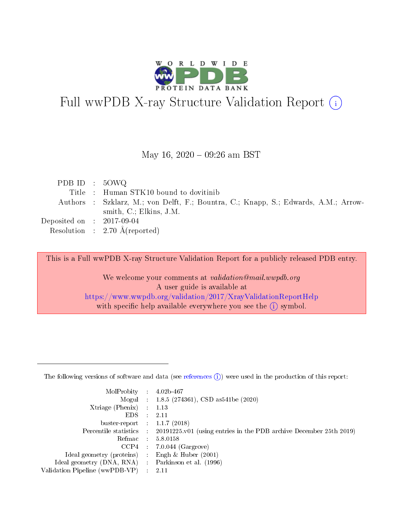

# Full wwPDB X-ray Structure Validation Report (i)

#### May 16,  $2020 - 09:26$  am BST

| PDB ID : $50WQ$             |                                                                                     |
|-----------------------------|-------------------------------------------------------------------------------------|
|                             | Title: Human STK10 bound to dovitinib                                               |
|                             | Authors : Szklarz, M.; von Delft, F.; Bountra, C.; Knapp, S.; Edwards, A.M.; Arrow- |
|                             | smith, $C$ .; Elkins, J.M.                                                          |
| Deposited on : $2017-09-04$ |                                                                                     |
|                             | Resolution : $2.70 \text{ Å}$ (reported)                                            |

This is a Full wwPDB X-ray Structure Validation Report for a publicly released PDB entry.

We welcome your comments at validation@mail.wwpdb.org A user guide is available at <https://www.wwpdb.org/validation/2017/XrayValidationReportHelp> with specific help available everywhere you see the  $(i)$  symbol.

The following versions of software and data (see [references](https://www.wwpdb.org/validation/2017/XrayValidationReportHelp#references)  $(1)$ ) were used in the production of this report:

| MolProbity                     | $\mathcal{L}_{\rm{max}}$ | $4.02b - 467$                                                                |
|--------------------------------|--------------------------|------------------------------------------------------------------------------|
|                                |                          | Mogul : $1.8.5$ (274361), CSD as 541be (2020)                                |
| $X$ triage (Phenix) :          |                          | 1.13                                                                         |
| EDS.                           |                          | 2.11                                                                         |
| buster-report : $1.1.7$ (2018) |                          |                                                                              |
| Percentile statistics :        |                          | $20191225 \text{ v}01$ (using entries in the PDB archive December 25th 2019) |
| Refmac                         |                          | 5.8.0158                                                                     |
| $CCP4$ :                       |                          | $7.0.044$ (Gargrove)                                                         |
| Ideal geometry (proteins) :    |                          | Engh $\&$ Huber (2001)                                                       |
| Ideal geometry (DNA, RNA) :    |                          | Parkinson et al. (1996)                                                      |
| Validation Pipeline (wwPDB-VP) | $\mathcal{L}$            | -2.11                                                                        |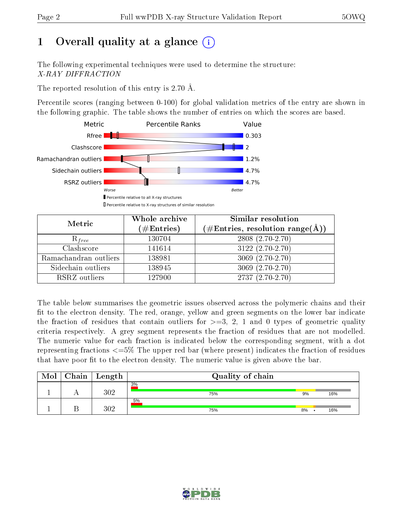# 1 [O](https://www.wwpdb.org/validation/2017/XrayValidationReportHelp#overall_quality)verall quality at a glance  $(i)$

The following experimental techniques were used to determine the structure: X-RAY DIFFRACTION

The reported resolution of this entry is 2.70 Å.

Percentile scores (ranging between 0-100) for global validation metrics of the entry are shown in the following graphic. The table shows the number of entries on which the scores are based.



| Metric                | Whole archive<br>$(\#\text{Entries})$ | Similar resolution<br>$(\#\text{Entries},\, \text{resolution}\; \text{range}(\textup{\AA}))$ |  |  |
|-----------------------|---------------------------------------|----------------------------------------------------------------------------------------------|--|--|
| $R_{free}$            | 130704                                | $2808(2.70-2.70)$                                                                            |  |  |
| Clashscore            | 141614                                | $3122(2.70-2.70)$                                                                            |  |  |
| Ramachandran outliers | 138981                                | 3069 $(2.70-2.70)$                                                                           |  |  |
| Sidechain outliers    | 138945                                | $3069(2.70-2.70)$                                                                            |  |  |
| RSRZ outliers         | 127900                                | $2737(2.70-2.70)$                                                                            |  |  |

The table below summarises the geometric issues observed across the polymeric chains and their fit to the electron density. The red, orange, yellow and green segments on the lower bar indicate the fraction of residues that contain outliers for  $>=3, 2, 1$  and 0 types of geometric quality criteria respectively. A grey segment represents the fraction of residues that are not modelled. The numeric value for each fraction is indicated below the corresponding segment, with a dot representing fractions  $\epsilon=5\%$  The upper red bar (where present) indicates the fraction of residues that have poor fit to the electron density. The numeric value is given above the bar.

| Mol | Chain | $\perp$ Length | Quality of chain |    |     |  |  |  |
|-----|-------|----------------|------------------|----|-----|--|--|--|
|     |       | $302\,$        | 3%<br>75%        | 9% | 16% |  |  |  |
|     |       | $302\,$        | 5%<br>75%        | 8% | 16% |  |  |  |

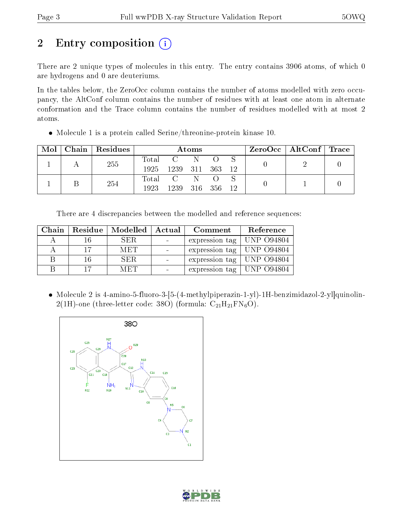# 2 Entry composition (i)

There are 2 unique types of molecules in this entry. The entry contains 3906 atoms, of which 0 are hydrogens and 0 are deuteriums.

In the tables below, the ZeroOcc column contains the number of atoms modelled with zero occupancy, the AltConf column contains the number of residues with at least one atom in alternate conformation and the Trace column contains the number of residues modelled with at most 2 atoms.

Molecule 1 is a protein called Serine/threonine-protein kinase 10.

| Mol |  | Chain   Residues | Atoms           |                               |       |    | $\text{ZeroOcc}$   AltConf   Trace |  |  |
|-----|--|------------------|-----------------|-------------------------------|-------|----|------------------------------------|--|--|
|     |  | 255              | Total           | $\mathbf{C}$ and $\mathbf{C}$ | -N    |    |                                    |  |  |
|     |  | 1925             | 1239 311        |                               | - 363 | 12 |                                    |  |  |
|     |  | 254              |                 | Total C                       | -N    |    |                                    |  |  |
|     |  | 1923             | 1239 316 356 12 |                               |       |    |                                    |  |  |

There are 4 discrepancies between the modelled and reference sequences:

|    | Chain   Residue   Modelled | $\overline{\phantom{a}}$ Actual | Comment                        | Reference |
|----|----------------------------|---------------------------------|--------------------------------|-----------|
|    | SER.                       |                                 | expression tag   UNP 094804    |           |
|    | MET                        |                                 | expression tag   UNP $O94804$  |           |
| 16 | SER.                       |                                 | expression tag   UNP $O$ 94804 |           |
| 17 | MET                        |                                 | expression tag   UNP $O94804$  |           |

 Molecule 2 is 4-amino-5-fluoro-3-[5-(4-methylpiperazin-1-yl)-1H-benzimidazol-2-yl]quinolin-2(1H)-one (three-letter code: 38O) (formula:  $C_{21}H_{21}FN_6O$ ).



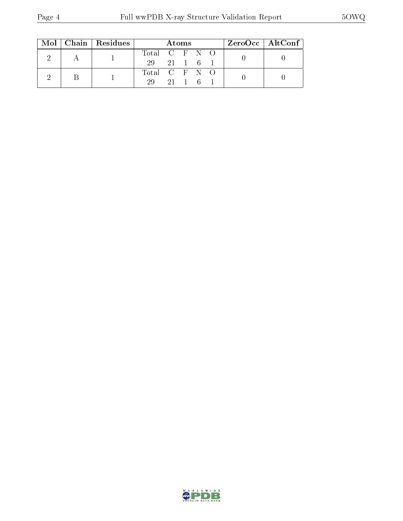|  |  | Mol   Chain   Residues | Atoms         |  |                      |  | $\rm ZeroOcc \mid AltConf \mid$ |  |
|--|--|------------------------|---------------|--|----------------------|--|---------------------------------|--|
|  |  |                        | Total C F N O |  |                      |  |                                 |  |
|  |  | 29 21 1 6              |               |  |                      |  |                                 |  |
|  |  |                        | Total C F N O |  |                      |  |                                 |  |
|  |  |                        | 29            |  | $21 \quad 1 \quad 6$ |  |                                 |  |

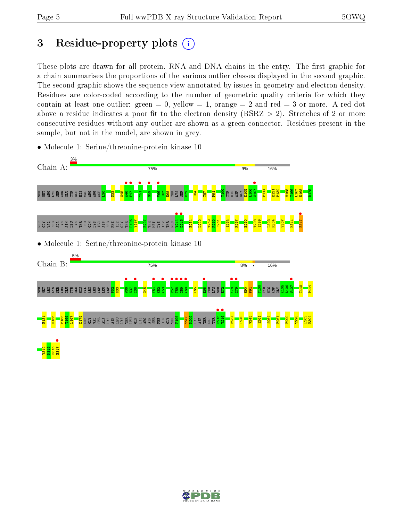# 3 Residue-property plots  $(i)$

These plots are drawn for all protein, RNA and DNA chains in the entry. The first graphic for a chain summarises the proportions of the various outlier classes displayed in the second graphic. The second graphic shows the sequence view annotated by issues in geometry and electron density. Residues are color-coded according to the number of geometric quality criteria for which they contain at least one outlier: green  $= 0$ , yellow  $= 1$ , orange  $= 2$  and red  $= 3$  or more. A red dot above a residue indicates a poor fit to the electron density (RSRZ  $> 2$ ). Stretches of 2 or more consecutive residues without any outlier are shown as a green connector. Residues present in the sample, but not in the model, are shown in grey.



• Molecule 1: Serine/threonine-protein kinase 10

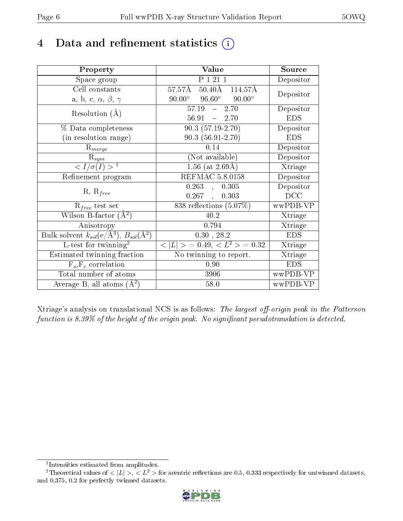## 4 Data and refinement statistics  $(i)$

| Property                                                             | Value                                                  | Source                       |
|----------------------------------------------------------------------|--------------------------------------------------------|------------------------------|
| Space group                                                          | P 1 21 1                                               | Depositor                    |
| Cell constants                                                       | $57.57\text{\AA}$ $50.40\text{\AA}$ $114.57\text{\AA}$ | Depositor                    |
| a, b, c, $\alpha$ , $\beta$ , $\gamma$                               | $90.00^{\circ}$ $96.60^{\circ}$ $90.00^{\circ}$        |                              |
| Resolution $(A)$                                                     | $\overline{57.19}$<br>$-2.70$                          | Depositor                    |
|                                                                      | $-2.70$<br>56.91                                       | <b>EDS</b>                   |
| % Data completeness                                                  | $90.3(57.19-2.70)$                                     | Depositor                    |
| (in resolution range)                                                | $90.3(56.91-2.70)$                                     | <b>EDS</b>                   |
| $R_{merge}$                                                          | 0.14                                                   | Depositor                    |
| $R_{sym}$                                                            | (Not available)                                        | Depositor                    |
| $\langle I/\sigma(I) \rangle^{-1}$                                   | $1.56$ (at 2.69Å)                                      | $\overline{\text{X}}$ triage |
| Refinement program                                                   | REFMAC 5.8.0158                                        | Depositor                    |
|                                                                      | $0.263$ , $0.305$                                      | Depositor                    |
| $R, R_{free}$                                                        | $0.267$ ,<br>0.303                                     | DCC                          |
| $\mathcal{R}_{free}$ test set                                        | 838 reflections $(5.07\%)$                             | wwPDB-VP                     |
| Wilson B-factor $(A^2)$                                              | 40.2                                                   | Xtriage                      |
| Anisotropy                                                           | 0.794                                                  | Xtriage                      |
| Bulk solvent $k_{sol}(e/\mathring{A}^3)$ , $B_{sol}(\mathring{A}^2)$ | $0.30$ , $28.2$                                        | <b>EDS</b>                   |
| $L$ -test for twinning <sup>2</sup>                                  | $< L >$ = 0.49, $< L2$ > = 0.32                        | Xtriage                      |
| Estimated twinning fraction                                          | No twinning to report.                                 | Xtriage                      |
| $F_o, F_c$ correlation                                               | 0.90                                                   | <b>EDS</b>                   |
| Total number of atoms                                                | 3906                                                   | wwPDB-VP                     |
| Average B, all atoms $(A^2)$                                         | 58.0                                                   | wwPDB-VP                     |

Xtriage's analysis on translational NCS is as follows: The largest off-origin peak in the Patterson function is  $8.39\%$  of the height of the origin peak. No significant pseudotranslation is detected.

<sup>&</sup>lt;sup>2</sup>Theoretical values of  $\langle |L| \rangle$ ,  $\langle L^2 \rangle$  for acentric reflections are 0.5, 0.333 respectively for untwinned datasets, and 0.375, 0.2 for perfectly twinned datasets.



<span id="page-5-1"></span><span id="page-5-0"></span><sup>1</sup> Intensities estimated from amplitudes.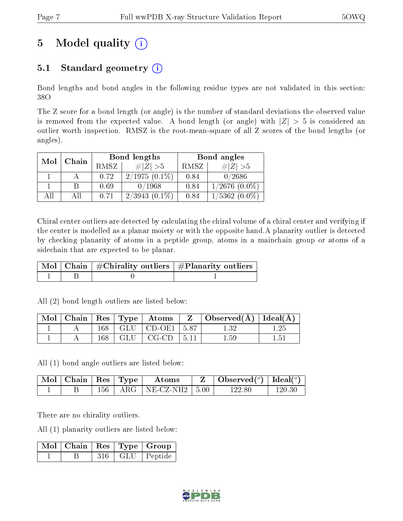# 5 Model quality  $(i)$

### 5.1 Standard geometry  $(i)$

Bond lengths and bond angles in the following residue types are not validated in this section: 38O

The Z score for a bond length (or angle) is the number of standard deviations the observed value is removed from the expected value. A bond length (or angle) with  $|Z| > 5$  is considered an outlier worth inspection. RMSZ is the root-mean-square of all Z scores of the bond lengths (or angles).

| Mol | Chain |             | Bond lengths    | Bond angles |                    |  |
|-----|-------|-------------|-----------------|-------------|--------------------|--|
|     |       | <b>RMSZ</b> | $\# Z  > 5$     | RMSZ        | $\# Z  > 5$        |  |
|     |       | 0.72        | $2/1975(0.1\%)$ | 0.84        | 0/2686             |  |
|     |       | 0.69        | 0/1968          | 0.84        | $1/2676$ $(0.0\%)$ |  |
| All |       | 0.71        | $2/3943(0.1\%)$ | 0.84        | $1/5362(0.0\%)$    |  |

Chiral center outliers are detected by calculating the chiral volume of a chiral center and verifying if the center is modelled as a planar moiety or with the opposite hand.A planarity outlier is detected by checking planarity of atoms in a peptide group, atoms in a mainchain group or atoms of a sidechain that are expected to be planar.

|  | $\mid$ Mol $\mid$ Chain $\mid$ #Chirality outliers $\mid$ #Planarity outliers $'$ |
|--|-----------------------------------------------------------------------------------|
|  |                                                                                   |

All (2) bond length outliers are listed below:

| $\bf{Mol}$ |     | $\vert$ Chain $\vert$ Res $\vert$ Type $\vert$ Atoms | $Z \mid$ Observed( $\AA$ )   Ideal( $\AA$ ) |          |
|------------|-----|------------------------------------------------------|---------------------------------------------|----------|
|            |     | $168$   GLU   CD-OE1   5.87                          | $1.32\,$                                    |          |
|            | 168 | $\mid$ GLU $\mid$ CG-CD $\mid$ 5.11                  | $1.59\,$                                    | $1.51\,$ |

All (1) bond angle outliers are listed below:

| Mol   Chain   Res   Type |     |     | Atoms     |        | Observed $(^\circ)$ | Ideal $(°)$ |
|--------------------------|-----|-----|-----------|--------|---------------------|-------------|
|                          | 156 | ARG | NE-CZ-NH2 | - 5.00 | 1 22. ST            | 120.30      |

There are no chirality outliers.

All (1) planarity outliers are listed below:

|  |     | $\lceil\,\overline{\text{Mol}}\,\rceil$ Chain $\mid\text{Res}\mid\text{Type}\mid\text{Group}\mid$ |  |
|--|-----|---------------------------------------------------------------------------------------------------|--|
|  | 316 | GLU   Peptide                                                                                     |  |

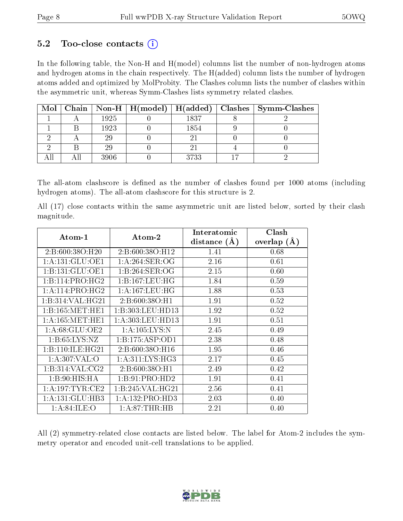### $5.2$  Too-close contacts  $(i)$

In the following table, the Non-H and H(model) columns list the number of non-hydrogen atoms and hydrogen atoms in the chain respectively. The H(added) column lists the number of hydrogen atoms added and optimized by MolProbity. The Clashes column lists the number of clashes within the asymmetric unit, whereas Symm-Clashes lists symmetry related clashes.

|  |      |      | Mol   Chain   Non-H   H(model)   H(added)   Clashes   Symm-Clashes |
|--|------|------|--------------------------------------------------------------------|
|  | 1925 | 1837 |                                                                    |
|  | 1923 | 1854 |                                                                    |
|  | 29   |      |                                                                    |
|  | 29   |      |                                                                    |
|  | 3906 | 3733 |                                                                    |

The all-atom clashscore is defined as the number of clashes found per 1000 atoms (including hydrogen atoms). The all-atom clashscore for this structure is 2.

All (17) close contacts within the same asymmetric unit are listed below, sorted by their clash magnitude.

| Atom-1              | Atom-2              | Interatomic      | Clash         |
|---------------------|---------------------|------------------|---------------|
|                     |                     | distance $(\AA)$ | overlap $(A)$ |
| 2:B:600:38O:H20     | 2:B:600:38O:H12     | 1.41             | 0.68          |
| 1: A: 131: GLU: OE1 | 1: A:264:SER:OG     | 2.16             | 0.61          |
| 1:B:131:GLU:OE1     | 1:B:264:SER:OG      | 2.15             | 0.60          |
| 1:B:114:PRO:HG2     | 1:B:167:LEU:HG      | 1.84             | 0.59          |
| 1: A:114: PRO:HG2   | 1: A: 167: LEU: HG  | 1.88             | 0.53          |
| 1:B:314:VAL:HG21    | 2:B:600:38O:H1      | 1.91             | 0.52          |
| 1: B: 165: MET: HE1 | 1:B:303:LEU:HD13    | 1.92             | 0.52          |
| 1: A: 165: MET: HE1 | 1:A:303:LEU:HD13    | 1.91             | 0.51          |
| 1: A:68: GLU:OE2    | 1: A: 105: LYS: N   | 2.45             | 0.49          |
| 1: B:65: LYS:NZ     | 1: B: 175: ASP: OD1 | 2.38             | 0.48          |
| 1:B:110:ILE:HG21    | 2:B:600:38O:H16     | 1.95             | 0.46          |
| 1: A:307: VAL:O     | 1: A:311:LYS:HG3    | 2.17             | 0.45          |
| 1:B:314:VAL:CG2     | 2:B:600:38O:H1      | 2.49             | 0.42          |
| 1: B:90:HIS:HA      | 1:B:91:PRO:HD2      | 1.91             | 0.41          |
| 1: A: 197: TYR: CE2 | 1:B:245:VAL:HG21    | 2.56             | 0.41          |
| 1: A: 131: GLU: HB3 | 1:A:132:PRO:HD3     | 2.03             | 0.40          |
| 1: A:84: ILE:O      | 1:A:87:THR:HB       | 2.21             | 0.40          |

All (2) symmetry-related close contacts are listed below. The label for Atom-2 includes the symmetry operator and encoded unit-cell translations to be applied.

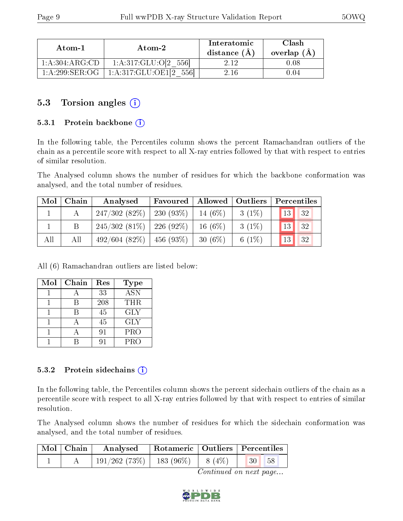| Atom-1           | Atom-2                     | Interatomic<br>distance $(A)$ | Clash<br>overlap (A) |
|------------------|----------------------------|-------------------------------|----------------------|
| 1: A:304: ARG:CD | 1:A:317:GLU:O[2<br>-5561   | 919                           | 1.08                 |
| 1: A:299: SER:OG | 1:A:317:GLU:OE1[2<br>.5561 | 2 16                          | 1114                 |

### 5.3 Torsion angles (i)

#### 5.3.1 Protein backbone (i)

In the following table, the Percentiles column shows the percent Ramachandran outliers of the chain as a percentile score with respect to all X-ray entries followed by that with respect to entries of similar resolution.

The Analysed column shows the number of residues for which the backbone conformation was analysed, and the total number of residues.

| $\bf{Mol}$ | Chain | Analysed                          | Favoured    | Allowed   Outliers |          | Percentiles |
|------------|-------|-----------------------------------|-------------|--------------------|----------|-------------|
|            |       | 247/302(82%)                      | $230(93\%)$ | $14(6\%)$          | $3(1\%)$ | 13<br> 32   |
|            |       | $245/302(81\%)$ 226 (92\%)        |             | $16(6\%)$          | $3(1\%)$ | 32 <br>13   |
| All        | All   | $492/604$ $(82\%)$   456 $(93\%)$ |             | $30(6\%)$          | 6 $(1%)$ | 13 <br> 32  |

All (6) Ramachandran outliers are listed below:

| Mol | Chain | Res | <b>Type</b> |
|-----|-------|-----|-------------|
|     |       | 33  | <b>ASN</b>  |
|     |       | 208 | <b>THR</b>  |
|     |       | 45  | GLY         |
|     |       | 45  | <b>GLY</b>  |
|     |       | 91  | <b>PRO</b>  |
|     |       |     | <b>PRO</b>  |

#### 5.3.2 Protein sidechains  $(i)$

In the following table, the Percentiles column shows the percent sidechain outliers of the chain as a percentile score with respect to all X-ray entries followed by that with respect to entries of similar resolution.

The Analysed column shows the number of residues for which the sidechain conformation was analysed, and the total number of residues.

| Mol   Chain | Analysed                               | Rotameric   Outliers   Percentiles |  |                                                                  |  |
|-------------|----------------------------------------|------------------------------------|--|------------------------------------------------------------------|--|
|             | $191/262(73\%)$   183 (96\%)   8 (4\%) |                                    |  | $\begin{array}{ c c c c c } \hline 30 & 58 \\\hline \end{array}$ |  |

Continued on next page...

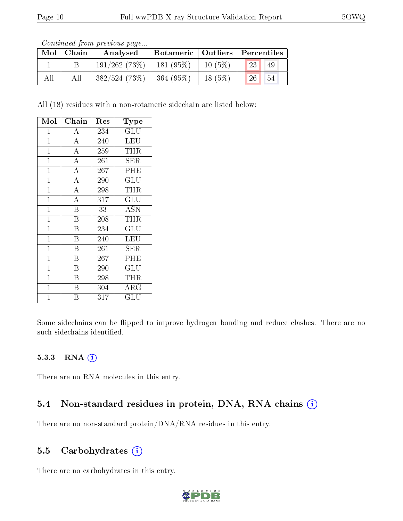|     | Continuation from providuo pugu |              |                                    |           |    |    |  |  |  |  |  |  |
|-----|---------------------------------|--------------|------------------------------------|-----------|----|----|--|--|--|--|--|--|
|     | $Mol$   Chain                   | Analysed     | Rotameric   Outliers   Percentiles |           |    |    |  |  |  |  |  |  |
|     |                                 | 191/262(73%) | 181(95%)                           | $10(5\%)$ | 23 | 49 |  |  |  |  |  |  |
| All | All                             | 382/524(73%) | $364(95\%)$                        | $18(5\%)$ | 26 | 54 |  |  |  |  |  |  |

Continued from previous page.

All (18) residues with a non-rotameric sidechain are listed below:

| Mol          | Chain                   | Res | Type                 |
|--------------|-------------------------|-----|----------------------|
| 1            | А                       | 234 | GLU                  |
| $\mathbf 1$  | $\overline{\rm A}$      | 240 | LEU                  |
| $\mathbf{1}$ | $\overline{\rm A}$      | 259 | THR                  |
| $\mathbf 1$  | $\overline{A}$          | 261 | SER                  |
| $\mathbf 1$  | $\overline{A}$          | 267 | PHE                  |
| $\mathbf{1}$ | $\overline{\rm A}$      | 290 | GLU                  |
| $\mathbf{1}$ | $\overline{\rm A}$      | 298 | THR                  |
| $\mathbf{1}$ | $\overline{\rm A}$      | 317 | GLU                  |
| $\mathbf{1}$ | $\overline{\mathrm{B}}$ | 33  | ASN                  |
| $\mathbf 1$  | $\overline{\mathrm{B}}$ | 208 | THR                  |
| $\mathbf 1$  | $\overline{\mathbf{B}}$ | 234 | $\operatorname{GLU}$ |
| $\mathbf 1$  | B                       | 240 | LEU                  |
| $\mathbf 1$  | $\overline{\mathrm{B}}$ | 261 | <b>SER</b>           |
| $\mathbf 1$  | $\overline{B}$          | 267 | PHE                  |
| $\mathbf 1$  | B                       | 290 | GLU                  |
| $\mathbf{1}$ | B                       | 298 | THR                  |
| $\mathbf{1}$ | B                       | 304 | $\rm{ARG}$           |
| $\mathbf 1$  | В                       | 317 | $\operatorname{GLU}$ |

Some sidechains can be flipped to improve hydrogen bonding and reduce clashes. There are no such sidechains identified.

#### 5.3.3 RNA (1)

There are no RNA molecules in this entry.

#### 5.4 Non-standard residues in protein, DNA, RNA chains (i)

There are no non-standard protein/DNA/RNA residues in this entry.

#### 5.5 Carbohydrates (i)

There are no carbohydrates in this entry.

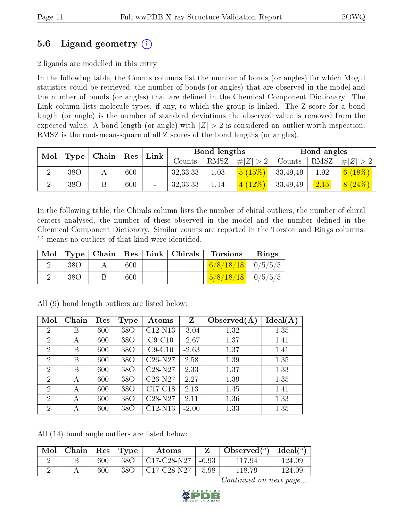### 5.6 Ligand geometry (i)

2 ligands are modelled in this entry.

In the following table, the Counts columns list the number of bonds (or angles) for which Mogul statistics could be retrieved, the number of bonds (or angles) that are observed in the model and the number of bonds (or angles) that are dened in the Chemical Component Dictionary. The Link column lists molecule types, if any, to which the group is linked. The Z score for a bond length (or angle) is the number of standard deviations the observed value is removed from the expected value. A bond length (or angle) with  $|Z| > 2$  is considered an outlier worth inspection. RMSZ is the root-mean-square of all Z scores of the bond lengths (or angles).

| Mol<br>$\top$ Type $\top$ |                 |  |                      |        |               |          |             | Chain    |                |          |  |  |  |  |  |  |  | $\mathbf{Link}$ |  | Bond lengths |  |  | Bond angles |  |
|---------------------------|-----------------|--|----------------------|--------|---------------|----------|-------------|----------|----------------|----------|--|--|--|--|--|--|--|-----------------|--|--------------|--|--|-------------|--|
|                           |                 |  | $\operatorname{Res}$ |        | $\rm{Counts}$ | RMSZ     | $\# Z  > 2$ | Counts   | RMSZ           | Z        |  |  |  |  |  |  |  |                 |  |              |  |  |             |  |
|                           | 38 <sub>O</sub> |  | 600                  |        | 32, 33, 33    | 1.03     | 5(15%)      | 33,49,49 | 1.92           | $(18\%)$ |  |  |  |  |  |  |  |                 |  |              |  |  |             |  |
|                           | 38 <sub>O</sub> |  | 600                  | $\sim$ | 32, 33, 33    | $1.14\,$ | 4(12%)      | 33,49,49 | $\boxed{2.15}$ | 8(24%)   |  |  |  |  |  |  |  |                 |  |              |  |  |             |  |

In the following table, the Chirals column lists the number of chiral outliers, the number of chiral centers analysed, the number of these observed in the model and the number defined in the Chemical Component Dictionary. Similar counts are reported in the Torsion and Rings columns. '-' means no outliers of that kind were identified.

|                 |     |                 |                                   | Mol   Type   Chain   Res   Link   Chirals   Torsions   Rings |  |
|-----------------|-----|-----------------|-----------------------------------|--------------------------------------------------------------|--|
| <b>38O</b>      | 600 | <b>Contract</b> |                                   | $6/8/18/18$   $0/5/5/5$                                      |  |
| 38 <sub>O</sub> | 600 | $\sim$          | <b>Contract Contract Contract</b> | $5/8/18/18$   0/5/5/5                                        |  |

| Mol            | Chain | Res | <b>Type</b>     | Atoms     | Z       | Observed $(A)$ | Ideal(A) |
|----------------|-------|-----|-----------------|-----------|---------|----------------|----------|
| $\overline{2}$ | Β     | 600 | 38O             | $C12-N13$ | $-3.04$ | 1.32           | 1.35     |
| $\overline{2}$ | А     | 600 | 38O             | $C9-C10$  | $-2.67$ | 1.37           | 1.41     |
| $\overline{2}$ | B     | 600 | 38O             | $C9-C10$  | $-2.63$ | 1.37           | 1.41     |
| $\overline{2}$ | В     | 600 | 38O             | $C26-N27$ | 2.58    | 1.39           | 1.35     |
| $\overline{2}$ | B     | 600 | 38O             | $C28-N27$ | 2.33    | 1.37           | 1.33     |
| $\overline{2}$ | А     | 600 | 38O             | $C26-N27$ | 2.27    | 1.39           | 1.35     |
| $\overline{2}$ | А     | 600 | 38 <sub>O</sub> | $C17-C18$ | 2.13    | 1.45           | 1.41     |
| $\overline{2}$ | А     | 600 | 38O             | $C28-N27$ | 2.11    | 1.36           | 1.33     |
| $\overline{2}$ | А     | 600 | 38 <sub>O</sub> | $C12-N13$ | $-2.00$ | 1.33           | 1.35     |

All (9) bond length outliers are listed below:

All (14) bond angle outliers are listed below:

| Mol | Chain | $\mid$ $\operatorname{Res}$ | $\mathbf{T}$ Type | Atoms                 | $\bullet$ Observed( $^o$ )   Ideal( $^o$ ) |        |
|-----|-------|-----------------------------|-------------------|-----------------------|--------------------------------------------|--------|
|     |       | 600                         | 38 O              | $C17-C28-N27$   -6.93 | 117 94                                     | 124 09 |
|     |       | 600                         | 38O               | $C17-C28-N27$   -5.98 | -118.79 -                                  | 124.09 |

Continued on next page...

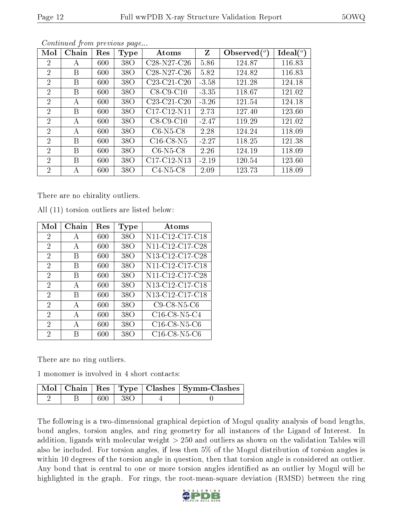| Mol            | Chain | Res | Type            | Atoms                                             | Z       | Observed $(°)$ | $\text{Ideal}({}^o)$ |
|----------------|-------|-----|-----------------|---------------------------------------------------|---------|----------------|----------------------|
| $\overline{2}$ | А     | 600 | 38 <sub>O</sub> | $C28-N27-C26$                                     | 5.86    | 124.87         | 116.83               |
| $\overline{2}$ | Β     | 600 | 38O             | $C28-N27-C26$                                     | 5.82    | 124.82         | 116.83               |
| $\overline{2}$ | Β     | 600 | 38O             | C23-C21-C20                                       | $-3.58$ | 121.28         | 124.18               |
| 2              | B     | 600 | 38 <sub>O</sub> | $C8-C9-C10$                                       | $-3.35$ | 118.67         | 121.02               |
| $\overline{2}$ | А     | 600 | 38 <sub>O</sub> | C <sub>23</sub> -C <sub>21</sub> -C <sub>20</sub> | $-3.26$ | 121.54         | 124.18               |
| $\overline{2}$ | Β     | 600 | 38 <sub>O</sub> | $C17-C12-N11$                                     | 2.73    | 127.40         | 123.60               |
| $\overline{2}$ | А     | 600 | 38 <sub>O</sub> | $C8-C9-C10$                                       | $-2.47$ | 119.29         | 121.02               |
| $\overline{2}$ | А     | 600 | 38O             | $C6-N5-C8$                                        | 2.28    | 124.24         | 118.09               |
| $\overline{2}$ | В     | 600 | 38O             | $C16$ -C8-N5                                      | $-2.27$ | 118.25         | 121.38               |
| $\overline{2}$ | Β     | 600 | 38O             | $C6-N5-C8$                                        | 2.26    | 124.19         | 118.09               |
| $\overline{2}$ | B     | 600 | 38 <sub>O</sub> | $C17-C12-N13$                                     | $-2.19$ | 120.54         | 123.60               |
| $\overline{2}$ | А     | 600 | 38 <sub>O</sub> | $C4-N5-C8$                                        | 2.09    | 123.73         | 118.09               |

Continued from previous page...

There are no chirality outliers.

| Mol            | Chain        | Res | Type            | Atoms                                                              |
|----------------|--------------|-----|-----------------|--------------------------------------------------------------------|
| $\overline{2}$ | A            | 600 | 38 <sub>O</sub> | N <sub>11</sub> -C <sub>12</sub> -C <sub>17</sub> -C <sub>18</sub> |
| $\overline{2}$ | A            | 600 | 38 <sub>O</sub> | N11-C12-C17-C28                                                    |
| $\overline{2}$ | В            | 600 | 38 <sub>O</sub> | N13-C12-C17-C28                                                    |
| $\overline{2}$ | В            | 600 | 38 <sub>O</sub> | N11-C12-C17-C18                                                    |
| $\overline{2}$ | В            | 600 | 38 <sub>O</sub> | N11-C12-C17-C28                                                    |
| $\overline{2}$ | А            | 600 | 38 <sub>O</sub> | N <sub>13</sub> -C <sub>12</sub> -C <sub>17</sub> -C <sub>18</sub> |
| $\mathfrak{D}$ | В            | 600 | 38 <sub>O</sub> | N <sub>13</sub> -C <sub>12</sub> -C <sub>17</sub> -C <sub>18</sub> |
| $\overline{2}$ | A            | 600 | 38O             | $C9$ -C8-N5-C6                                                     |
| 2              | $\mathbf{A}$ | 600 | 38O             | $C16$ -C8-N5-C4                                                    |
| 2              | А            | 600 | 38 O            | $C16$ -C8-N5-C6                                                    |
| 2              | R            | 600 | 38O             | $C16$ -C8-N5-C6                                                    |

All (11) torsion outliers are listed below:

There are no ring outliers.

1 monomer is involved in 4 short contacts:

|  |             | $\mid$ Mol $\mid$ Chain $\mid$ Res $\mid$ Type $\mid$ Clashes $\mid$ Symm-Clashes $\mid$ |
|--|-------------|------------------------------------------------------------------------------------------|
|  | $600 + 380$ |                                                                                          |

The following is a two-dimensional graphical depiction of Mogul quality analysis of bond lengths, bond angles, torsion angles, and ring geometry for all instances of the Ligand of Interest. In addition, ligands with molecular weight > 250 and outliers as shown on the validation Tables will also be included. For torsion angles, if less then 5% of the Mogul distribution of torsion angles is within 10 degrees of the torsion angle in question, then that torsion angle is considered an outlier. Any bond that is central to one or more torsion angles identified as an outlier by Mogul will be highlighted in the graph. For rings, the root-mean-square deviation (RMSD) between the ring

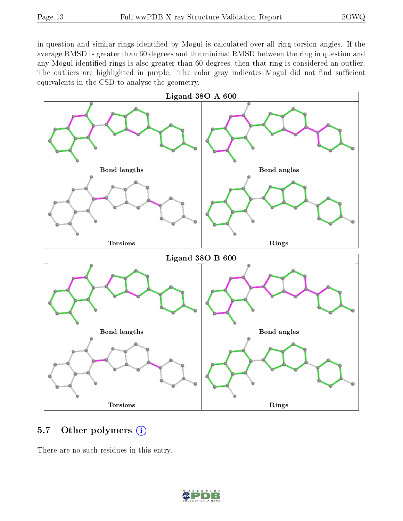in question and similar rings identified by Mogul is calculated over all ring torsion angles. If the average RMSD is greater than 60 degrees and the minimal RMSD between the ring in question and any Mogul-identified rings is also greater than 60 degrees, then that ring is considered an outlier. The outliers are highlighted in purple. The color gray indicates Mogul did not find sufficient equivalents in the CSD to analyse the geometry.



#### 5.7 [O](https://www.wwpdb.org/validation/2017/XrayValidationReportHelp#nonstandard_residues_and_ligands)ther polymers  $(i)$

There are no such residues in this entry.

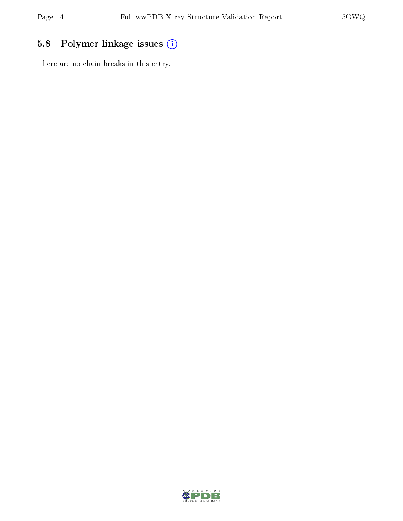### 5.8 Polymer linkage issues (i)

There are no chain breaks in this entry.

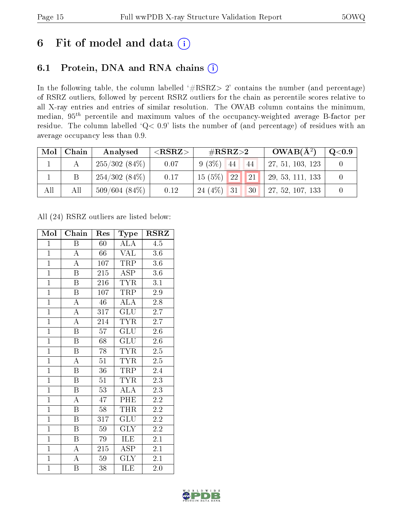## 6 Fit of model and data  $(i)$

## 6.1 Protein, DNA and RNA chains  $(i)$

In the following table, the column labelled  $#RSRZ> 2'$  contains the number (and percentage) of RSRZ outliers, followed by percent RSRZ outliers for the chain as percentile scores relative to all X-ray entries and entries of similar resolution. The OWAB column contains the minimum, median,  $95<sup>th</sup>$  percentile and maximum values of the occupancy-weighted average B-factor per residue. The column labelled ' $Q< 0.9$ ' lists the number of (and percentage) of residues with an average occupancy less than 0.9.

| Mol | Chain | Analysed        | $<$ RSRZ $>$ | # $RSRZ>2$                                                       | $OWAB(A^2)$      | $\mathrm{Q}{<}0.9$ |
|-----|-------|-----------------|--------------|------------------------------------------------------------------|------------------|--------------------|
|     |       | $255/302(84\%)$ | 0.07         | $9(3\%)$<br>44<br>44                                             | 27, 51, 103, 123 |                    |
|     |       | 254/302(84%)    | 0.17         | $\vert$ 21 $\vert$<br>$\blacksquare$ 22 $\blacksquare$<br>15(5%) | 29, 53, 111, 133 |                    |
| All | All   | $509/604(84\%)$ | 0.12         | 24(4%)<br>31<br>30                                               | 27, 52, 107, 133 |                    |

All (24) RSRZ outliers are listed below:

| Mol            | Chain                   | Res             | Type                    | $\rm RSRZ$       |
|----------------|-------------------------|-----------------|-------------------------|------------------|
| $\mathbf{1}$   | B                       | 60              | ALA                     | 4.5              |
| $\overline{1}$ | $\boldsymbol{A}$        | 66              | <b>VAL</b>              | 3.6              |
| $\overline{1}$ | $\overline{\rm A}$      | 107             | <b>TRP</b>              | 3.6              |
| $\overline{1}$ | $\, {\bf B}$            | 215             | $\overline{\text{ASP}}$ | $3.6\,$          |
| $\overline{1}$ | $\overline{\mathrm{B}}$ | 216             | <b>TYR</b>              | $\overline{3.1}$ |
| $\overline{1}$ | $\overline{B}$          | 107             | TRP                     | $2.9\,$          |
| $\overline{1}$ | $\overline{\rm A}$      | 46              | $\overline{\rm ALA}$    | 2.8              |
| $\overline{1}$ | $\overline{A}$          | 317             | GLU                     | 2.7              |
| $\overline{1}$ | $\overline{\rm A}$      | 214             | <b>TYR</b>              | 2.7              |
| $\overline{1}$ | $\overline{\mathrm{B}}$ | $\overline{57}$ | $\overline{\text{GLU}}$ | $\overline{2.6}$ |
| $\mathbf{1}$   | $\overline{\mathrm{B}}$ | 68              | <b>GLU</b>              | $2.6\,$          |
| $\overline{1}$ | $\overline{\mathrm{B}}$ | 78              | $\overline{\text{TYR}}$ | $2.5\,$          |
| $\overline{1}$ | $\overline{\rm A}$      | $\overline{51}$ | <b>TYR</b>              | $\overline{2.5}$ |
| $\mathbf{1}$   | $\, {\bf B}$            | 36              | TRP                     | 2.4              |
| $\overline{1}$ | $\overline{\mathrm{B}}$ | 51              | <b>TYR</b>              | $\overline{2.3}$ |
| $\overline{1}$ | $\overline{\mathrm{B}}$ | $\overline{53}$ | $\overline{\rm ALA}$    | $2.\overline{3}$ |
| $\overline{1}$ | $\overline{\rm A}$      | 47              | PHE                     | $\overline{2.2}$ |
| $\overline{1}$ | $\boldsymbol{B}$        | 58              | <b>THR</b>              | $2.\overline{2}$ |
| $\overline{1}$ | $\boldsymbol{B}$        | 317             | <b>GLU</b>              | $2.\overline{2}$ |
| $\overline{1}$ | $\overline{\mathbf{B}}$ | $\overline{59}$ | $\overline{\text{GLY}}$ | $2.\overline{2}$ |
| $\overline{1}$ | $\boldsymbol{B}$        | 79              | <b>ILE</b>              | 2.1              |
| $\overline{1}$ | $\overline{\rm A}$      | 215             | $\overline{\text{ASP}}$ | 2.1              |
| $\mathbf{1}$   | $\overline{\rm A}$      | 59              | <b>GLY</b>              | $2.1\,$          |
| $\overline{1}$ | B                       | 38              | $\overline{\rm ILE}$    | 2.0              |

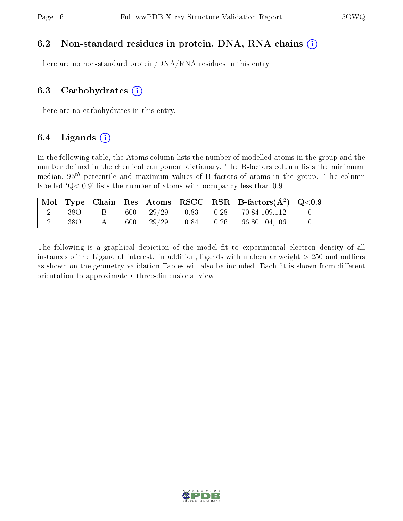#### 6.2 Non-standard residues in protein, DNA, RNA chains  $(i)$

There are no non-standard protein/DNA/RNA residues in this entry.

#### 6.3 Carbohydrates  $(i)$

There are no carbohydrates in this entry.

### 6.4 Ligands  $(i)$

In the following table, the Atoms column lists the number of modelled atoms in the group and the number defined in the chemical component dictionary. The B-factors column lists the minimum, median,  $95<sup>th</sup>$  percentile and maximum values of B factors of atoms in the group. The column labelled  $Q< 0.9$ ' lists the number of atoms with occupancy less than 0.9.

|                 |     |       |      |      | Mol   Type   Chain   Res   Atoms   RSCC   RSR   B-factors $(A^2)$   Q<0.9 |  |
|-----------------|-----|-------|------|------|---------------------------------------------------------------------------|--|
| 38O             | 600 | 29/29 | 0.83 | 0.28 | 70,84,109,112                                                             |  |
| 38 <sub>O</sub> | 600 | 29/29 | 0.84 | 0.26 | 66,80,104,106                                                             |  |

The following is a graphical depiction of the model fit to experimental electron density of all instances of the Ligand of Interest. In addition, ligands with molecular weight  $> 250$  and outliers as shown on the geometry validation Tables will also be included. Each fit is shown from different orientation to approximate a three-dimensional view.

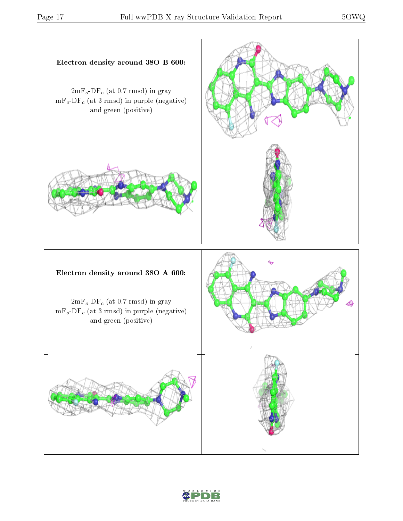